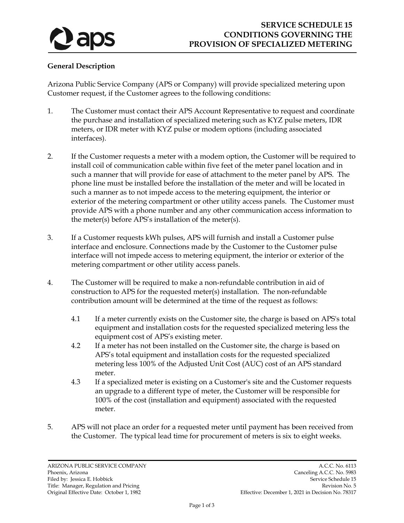

## **General Description**

Arizona Public Service Company (APS or Company) will provide specialized metering upon Customer request, if the Customer agrees to the following conditions:

- 1. The Customer must contact their APS Account Representative to request and coordinate the purchase and installation of specialized metering such as KYZ pulse meters, IDR meters, or IDR meter with KYZ pulse or modem options (including associated interfaces).
- 2. If the Customer requests a meter with a modem option, the Customer will be required to install coil of communication cable within five feet of the meter panel location and in such a manner that will provide for ease of attachment to the meter panel by APS. The phone line must be installed before the installation of the meter and will be located in such a manner as to not impede access to the metering equipment, the interior or exterior of the metering compartment or other utility access panels. The Customer must provide APS with a phone number and any other communication access information to the meter(s) before APS's installation of the meter(s).
- 3. If a Customer requests kWh pulses, APS will furnish and install a Customer pulse interface and enclosure. Connections made by the Customer to the Customer pulse interface will not impede access to metering equipment, the interior or exterior of the metering compartment or other utility access panels.
- 4. The Customer will be required to make a non-refundable contribution in aid of construction to APS for the requested meter(s) installation. The non-refundable contribution amount will be determined at the time of the request as follows:
	- 4.1 If a meter currently exists on the Customer site, the charge is based on APS's total equipment and installation costs for the requested specialized metering less the equipment cost of APS's existing meter.
	- 4.2 If a meter has not been installed on the Customer site, the charge is based on APS's total equipment and installation costs for the requested specialized metering less 100% of the Adjusted Unit Cost (AUC) cost of an APS standard meter.
	- 4.3 If a specialized meter is existing on a Customer's site and the Customer requests an upgrade to a different type of meter, the Customer will be responsible for 100% of the cost (installation and equipment) associated with the requested meter.
- 5. APS will not place an order for a requested meter until payment has been received from the Customer. The typical lead time for procurement of meters is six to eight weeks.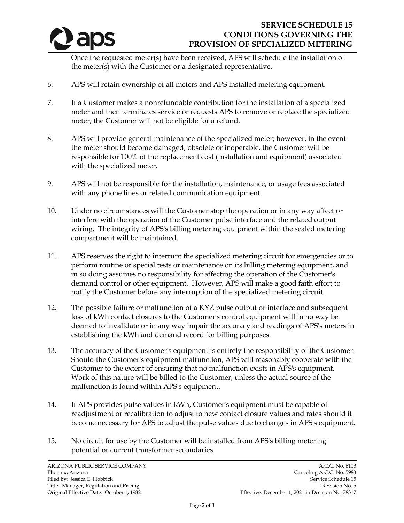

## **SERVICE SCHEDULE 15 CONDITIONS GOVERNING THE PROVISION OF SPECIALIZED METERING**

Once the requested meter(s) have been received, APS will schedule the installation of the meter(s) with the Customer or a designated representative.

- 6. APS will retain ownership of all meters and APS installed metering equipment.
- 7. If a Customer makes a nonrefundable contribution for the installation of a specialized meter and then terminates service or requests APS to remove or replace the specialized meter, the Customer will not be eligible for a refund.
- 8. APS will provide general maintenance of the specialized meter; however, in the event the meter should become damaged, obsolete or inoperable, the Customer will be responsible for 100% of the replacement cost (installation and equipment) associated with the specialized meter.
- 9. APS will not be responsible for the installation, maintenance, or usage fees associated with any phone lines or related communication equipment.
- 10. Under no circumstances will the Customer stop the operation or in any way affect or interfere with the operation of the Customer pulse interface and the related output wiring. The integrity of APS's billing metering equipment within the sealed metering compartment will be maintained.
- 11. APS reserves the right to interrupt the specialized metering circuit for emergencies or to perform routine or special tests or maintenance on its billing metering equipment, and in so doing assumes no responsibility for affecting the operation of the Customer's demand control or other equipment. However, APS will make a good faith effort to notify the Customer before any interruption of the specialized metering circuit.
- 12. The possible failure or malfunction of a KYZ pulse output or interface and subsequent loss of kWh contact closures to the Customer's control equipment will in no way be deemed to invalidate or in any way impair the accuracy and readings of APS's meters in establishing the kWh and demand record for billing purposes.
- 13. The accuracy of the Customer's equipment is entirely the responsibility of the Customer. Should the Customer's equipment malfunction, APS will reasonably cooperate with the Customer to the extent of ensuring that no malfunction exists in APS's equipment. Work of this nature will be billed to the Customer, unless the actual source of the malfunction is found within APS's equipment.
- 14. If APS provides pulse values in kWh, Customer's equipment must be capable of readjustment or recalibration to adjust to new contact closure values and rates should it become necessary for APS to adjust the pulse values due to changes in APS's equipment.
- 15. No circuit for use by the Customer will be installed from APS's billing metering potential or current transformer secondaries.